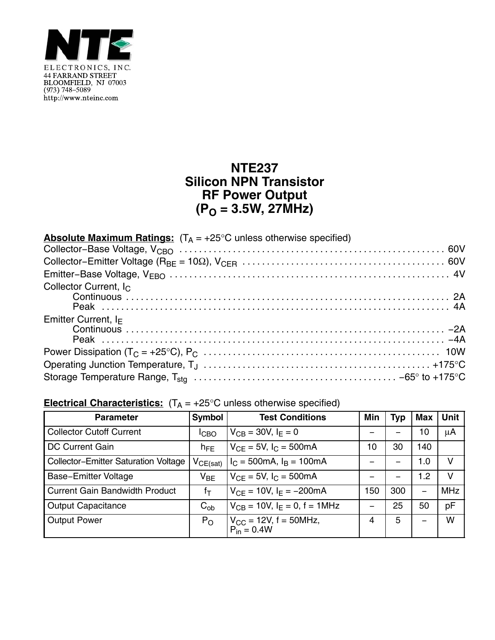

## **NTE237 Silicon NPN Transistor RF Power Output (PO = 3.5W, 27MHz)**

| <b>Absolute Maximum Ratings:</b> $(T_A = +25^{\circ}C$ unless otherwise specified) |  |
|------------------------------------------------------------------------------------|--|
|                                                                                    |  |
|                                                                                    |  |
|                                                                                    |  |
| Collector Current, I <sub>C</sub><br><u>Continuous</u><br>Continuous<br>Peak       |  |
| Emitter Current, $I_F$                                                             |  |
|                                                                                    |  |
|                                                                                    |  |
|                                                                                    |  |

## **Electrical Characteristics:**  $(T_A = +25^\circ C$  unless otherwise specified)

| <b>Parameter</b>                            | Symbol        | <b>Test Conditions</b>                               | Min | <b>Typ</b> | Max | <b>Unit</b> |
|---------------------------------------------|---------------|------------------------------------------------------|-----|------------|-----|-------------|
| <b>Collector Cutoff Current</b>             | ICBO          | $V_{CB} = 30V, I_F = 0$                              |     |            | 10  | $\mu$ A     |
| <b>DC Current Gain</b>                      | $h_{FE}$      | $V_{CF} = 5V$ , $I_C = 500mA$                        | 10  | 30         | 140 |             |
| <b>Collector-Emitter Saturation Voltage</b> | $V_{CE(sat)}$ | $I_C = 500 \text{mA}, I_B = 100 \text{mA}$           |     |            | 1.0 | v           |
| <b>Base-Emitter Voltage</b>                 | $V_{BE}$      | $V_{CF} = 5V$ , $I_C = 500mA$                        |     |            | 1.2 | v           |
| <b>Current Gain Bandwidth Product</b>       | fτ            | $V_{CF} = 10V$ , $I_F = -200mA$                      | 150 | 300        | -   | <b>MHz</b>  |
| <b>Output Capacitance</b>                   | $C_{ob}$      | $V_{CB} = 10V$ , $I_F = 0$ , $f = 1MHz$              |     | 25         | 50  | pF          |
| <b>Output Power</b>                         | $P_{O}$       | $V_{CC}$ = 12V, f = 50MHz,<br>P <sub>in</sub> = 0.4W | 4   | 5          | -   | W           |